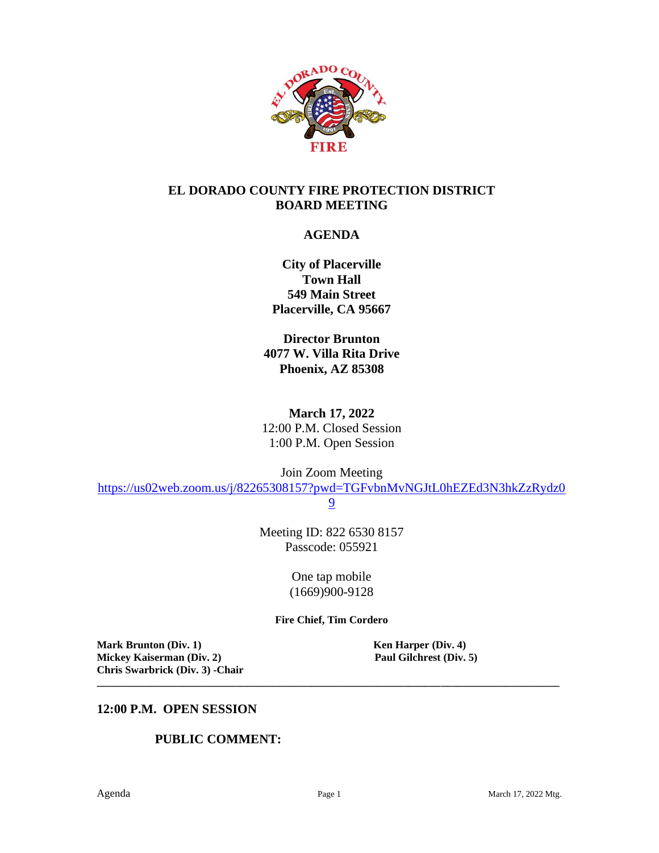

#### **EL DORADO COUNTY FIRE PROTECTION DISTRICT BOARD MEETING**

## **AGENDA**

**City of Placerville Town Hall 549 Main Street Placerville, CA 95667**

**Director Brunton 4077 W. Villa Rita Drive Phoenix, AZ 85308**

**March 17, 2022** 12:00 P.M. Closed Session 1:00 P.M. Open Session

Join Zoom Meeting

[https://us02web.zoom.us/j/82265308157?pwd=TGFvbnMvNGJtL0hEZEd3N3hkZzRydz0](https://us02web.zoom.us/j/82265308157?pwd=TGFvbnMvNGJtL0hEZEd3N3hkZzRydz09)

[9](https://us02web.zoom.us/j/82265308157?pwd=TGFvbnMvNGJtL0hEZEd3N3hkZzRydz09)

Meeting ID: 822 6530 8157 Passcode: 055921

> One tap mobile (1669)900-9128

**Fire Chief, Tim Cordero**

**\_\_\_\_\_\_\_\_\_\_\_\_\_\_\_\_\_\_\_\_\_\_\_\_\_\_\_\_\_\_\_\_\_\_\_\_\_\_\_\_\_\_\_\_\_\_\_\_\_\_\_\_\_\_\_\_\_\_\_\_\_\_\_\_\_\_\_\_\_\_\_\_\_\_\_\_\_\_\_\_\_\_\_\_\_\_**

**Mark Brunton (Div. 1)**<br> **Mickey Kaiserman (Div. 2)**<br> **Paul Gilchrest (Div. 5) Mickey Kaiserman** (Div. 2) **Chris Swarbrick (Div. 3) -Chair**

#### **12:00 P.M. OPEN SESSION**

#### **PUBLIC COMMENT:**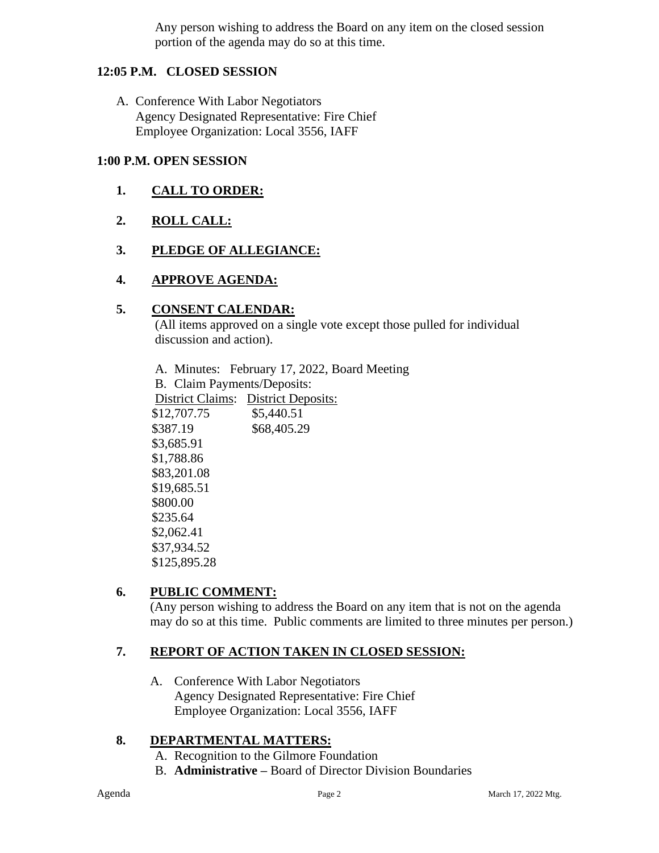Any person wishing to address the Board on any item on the closed session portion of the agenda may do so at this time.

## **12:05 P.M. CLOSED SESSION**

A. Conference With Labor Negotiators Agency Designated Representative: Fire Chief Employee Organization: Local 3556, IAFF

#### **1:00 P.M. OPEN SESSION**

- **1. CALL TO ORDER:**
- **2. ROLL CALL:**
- **3. PLEDGE OF ALLEGIANCE:**

## **4. APPROVE AGENDA:**

#### **5. CONSENT CALENDAR:**

 (All items approved on a single vote except those pulled for individual discussion and action).

A. Minutes: February 17, 2022, Board Meeting B. Claim Payments/Deposits: District Claims: District Deposits: \$12,707.75 \$5,440.51 \$387.19 \$68,405.29 \$3,685.91 \$1,788.86 \$83,201.08 \$19,685.51 \$800.00 \$235.64 \$2,062.41 \$37,934.52 \$125,895.28

## **6. PUBLIC COMMENT:**

(Any person wishing to address the Board on any item that is not on the agenda may do so at this time. Public comments are limited to three minutes per person.)

## **7. REPORT OF ACTION TAKEN IN CLOSED SESSION:**

A. Conference With Labor Negotiators Agency Designated Representative: Fire Chief Employee Organization: Local 3556, IAFF

## **8. DEPARTMENTAL MATTERS:**

- A. Recognition to the Gilmore Foundation
- B. **Administrative –** Board of Director Division Boundaries